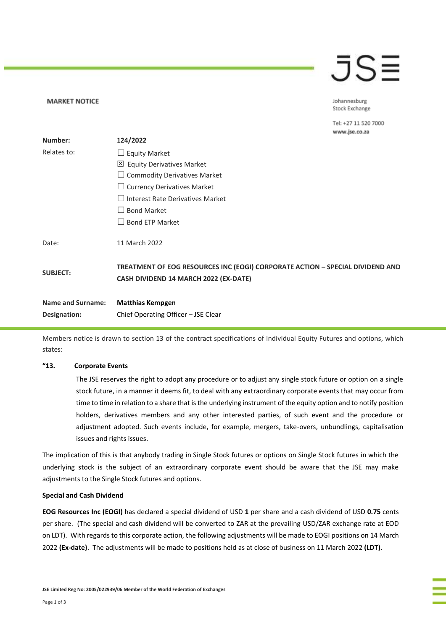# JS≡

Johannesburg Stock Exchange

Tel: +27 11 520 7000 www.ise.co.za

| Number:                  | 124/2022                                                                                                               |
|--------------------------|------------------------------------------------------------------------------------------------------------------------|
| Relates to:              | $\Box$ Equity Market                                                                                                   |
|                          | 凶 Equity Derivatives Market                                                                                            |
|                          | $\Box$ Commodity Derivatives Market                                                                                    |
|                          | $\Box$ Currency Derivatives Market                                                                                     |
|                          | $\Box$ Interest Rate Derivatives Market                                                                                |
|                          | $\Box$ Bond Market                                                                                                     |
|                          | $\Box$ Bond ETP Market                                                                                                 |
| Date:                    | 11 March 2022                                                                                                          |
| <b>SUBJECT:</b>          | TREATMENT OF EOG RESOURCES INC (EOGI) CORPORATE ACTION - SPECIAL DIVIDEND AND<br>CASH DIVIDEND 14 MARCH 2022 (EX-DATE) |
| <b>Name and Surname:</b> | <b>Matthias Kempgen</b>                                                                                                |
| Designation:             | Chief Operating Officer - JSE Clear                                                                                    |

Members notice is drawn to section 13 of the contract specifications of Individual Equity Futures and options, which states:

### **"13. Corporate Events**

**MARKET NOTICE** 

The JSE reserves the right to adopt any procedure or to adjust any single stock future or option on a single stock future, in a manner it deems fit, to deal with any extraordinary corporate events that may occur from time to time in relation to a share that is the underlying instrument of the equity option and to notify position holders, derivatives members and any other interested parties, of such event and the procedure or adjustment adopted. Such events include, for example, mergers, take-overs, unbundlings, capitalisation issues and rights issues.

The implication of this is that anybody trading in Single Stock futures or options on Single Stock futures in which the underlying stock is the subject of an extraordinary corporate event should be aware that the JSE may make adjustments to the Single Stock futures and options.

#### **Special and Cash Dividend**

**EOG Resources Inc (EOGI)** has declared a special dividend of USD **1** per share and a cash dividend of USD **0.75** cents per share. (The special and cash dividend will be converted to ZAR at the prevailing USD/ZAR exchange rate at EOD on LDT). With regards to this corporate action, the following adjustments will be made to EOGI positions on 14 March 2022 **(Ex-date)**. The adjustments will be made to positions held as at close of business on 11 March 2022 **(LDT)**.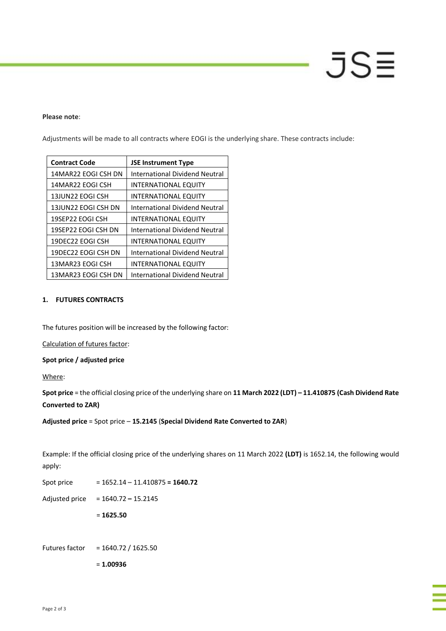# JS≣

#### **Please note**:

Adjustments will be made to all contracts where EOGI is the underlying share. These contracts include:

| <b>Contract Code</b> | <b>JSE Instrument Type</b>            |
|----------------------|---------------------------------------|
| 14MAR22 EOGI CSH DN  | <b>International Dividend Neutral</b> |
| 14MAR22 EOGI CSH     | INTERNATIONAL EQUITY                  |
| 13JUN22 EOGI CSH     | INTERNATIONAL EQUITY                  |
| 13JUN22 EOGI CSH DN  | International Dividend Neutral        |
| 19SEP22 EOGI CSH     | <b>INTERNATIONAL EQUITY</b>           |
| 19SEP22 EOGI CSH DN  | <b>International Dividend Neutral</b> |
| 19DEC22 EOGI CSH     | INTERNATIONAL EQUITY                  |
| 19DEC22 EOGI CSH DN  | International Dividend Neutral        |
| 13MAR23 EOGI CSH     | INTERNATIONAL EQUITY                  |
| 13MAR23 EOGI CSH DN  | International Dividend Neutral        |

# **1. FUTURES CONTRACTS**

The futures position will be increased by the following factor:

Calculation of futures factor:

**Spot price / adjusted price**

Where:

**Spot price** = the official closing price of the underlying share on **11 March 2022 (LDT) – 11.410875 (Cash Dividend Rate Converted to ZAR)**

**Adjusted price** = Spot price – **15.2145** (**Special Dividend Rate Converted to ZAR**)

Example: If the official closing price of the underlying shares on 11 March 2022 **(LDT)** is 1652.14, the following would apply:

Spot price = 1652.14 – 11.410875 **= 1640.72** Adjusted price = 1640.72 **–** 15.2145 = **1625.50** Futures factor = 1640.72 / 1625.50

= **1.00936**